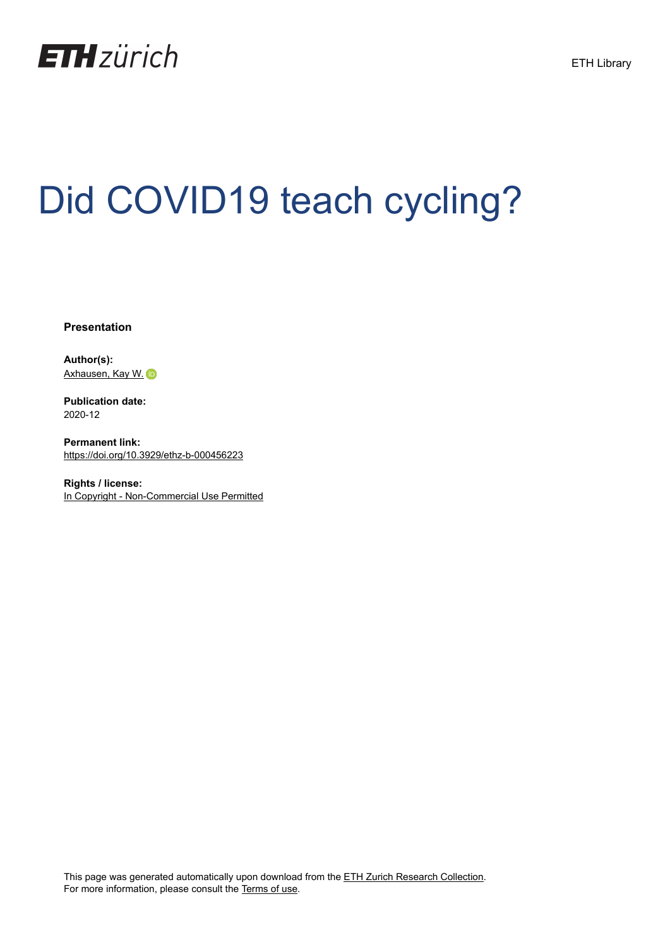

# Did COVID19 teach cycling?

**Presentation**

**Author(s):** [Axhausen, Kay W.](https://orcid.org/0000-0003-3331-1318)

**Publication date:** 2020-12

**Permanent link:** <https://doi.org/10.3929/ethz-b-000456223>

**Rights / license:** [In Copyright - Non-Commercial Use Permitted](http://rightsstatements.org/page/InC-NC/1.0/)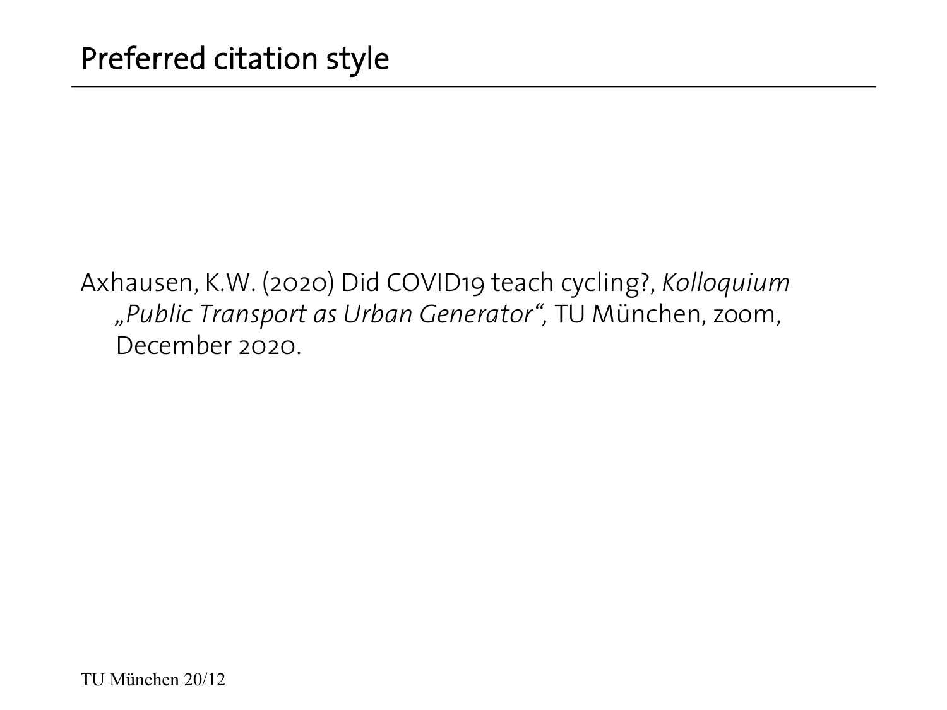Axhausen, K.W. (2020) Did COVID19 teach cycling?, *Kolloquium "Public Transport as Urban Generator",* TU München, zoom, December 2020.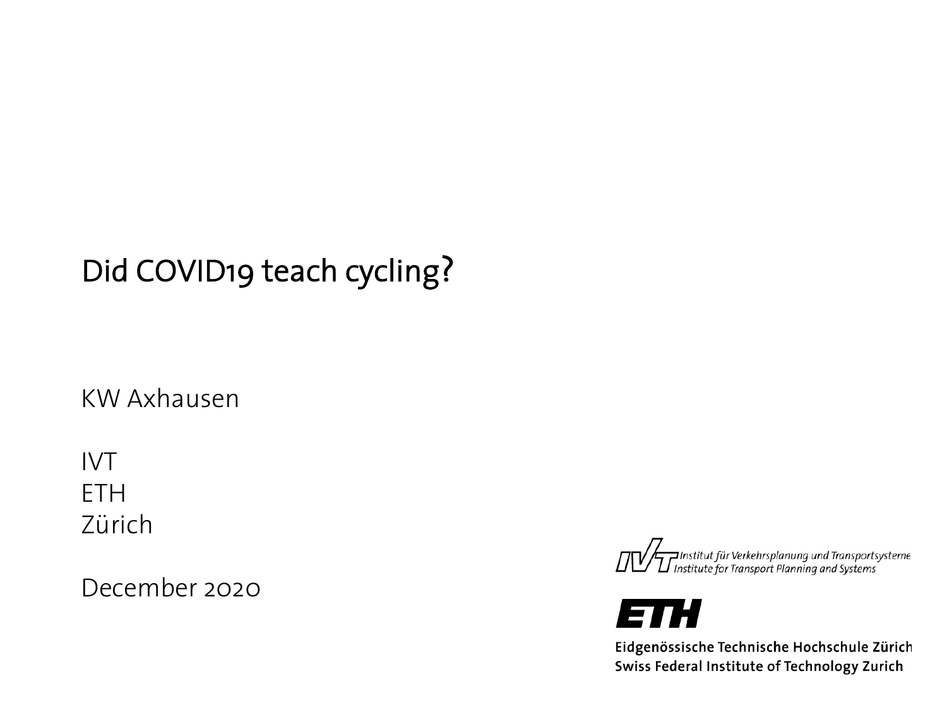## Did COVID19 teach cycling?

KW Axhausen

IVT ETH Zürich

December 2020





Eidgenössische Technische Hochschule Zürich Swiss Federal Institute of Technology Zurich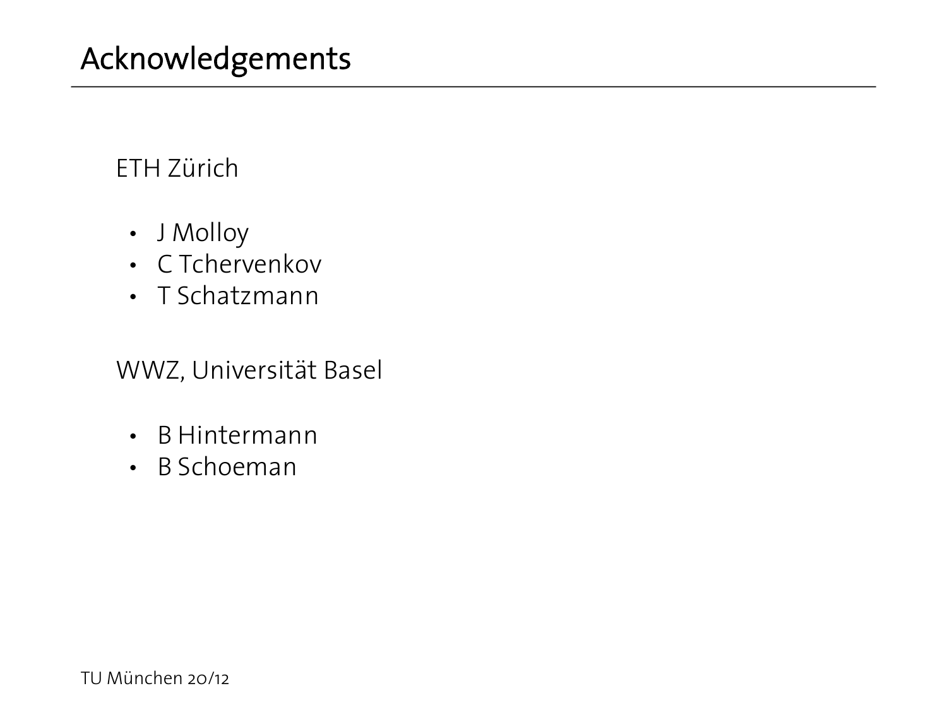#### ETH Zürich

- J Molloy
- C Tchervenkov
- T Schatzmann

WWZ, Universität Basel

- B Hintermann
- B Schoeman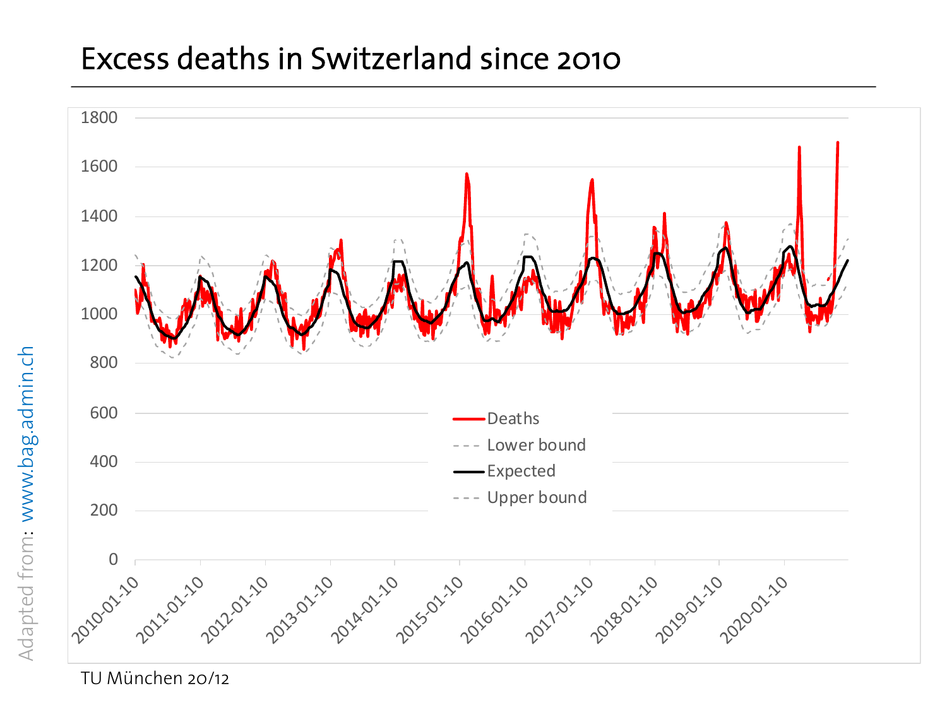#### Excess deaths in Switzerland since 2010

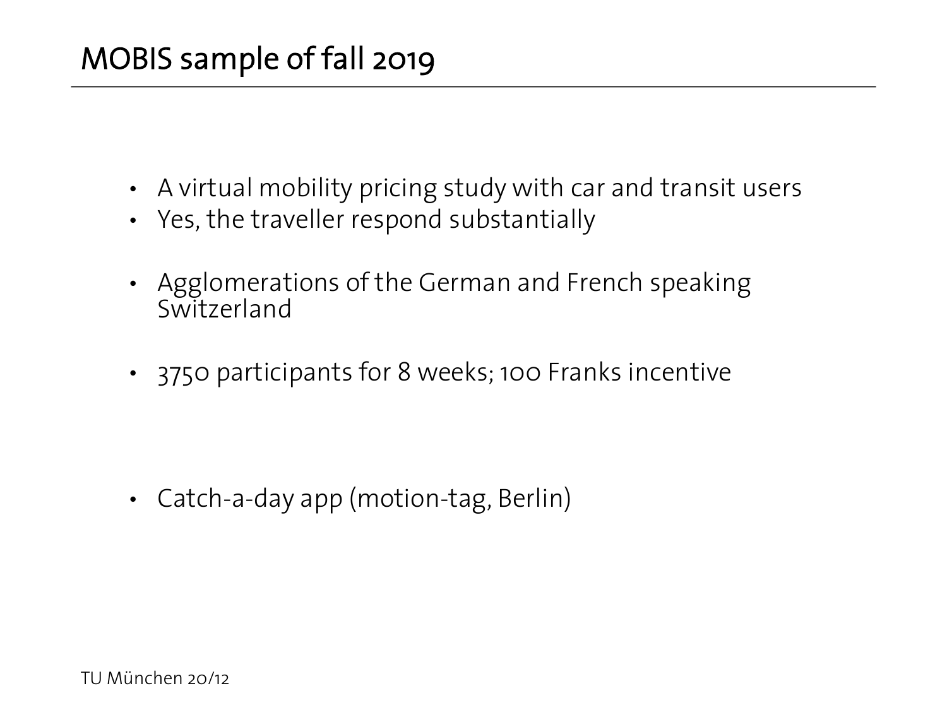- A virtual mobility pricing study with car and transit users
- Yes, the traveller respond substantially
- Agglomerations of the German and French speaking Switzerland
- 3750 participants for 8 weeks; 100 Franks incentive

• Catch-a-day app (motion-tag, Berlin)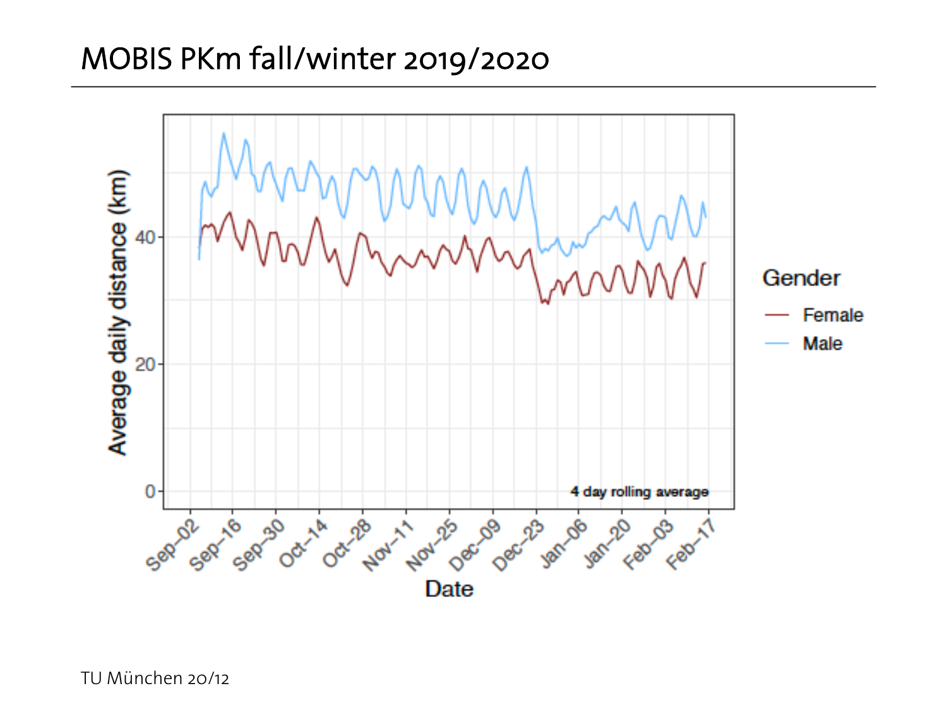#### MOBIS PKm fall/winter 2019/2020

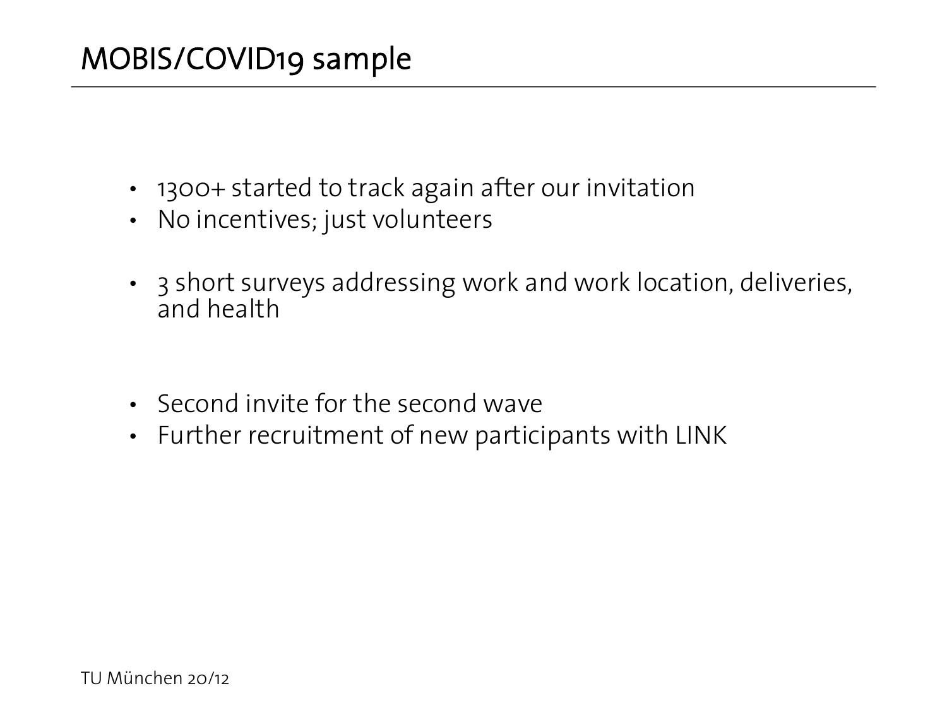- 1300+ started to track again after our invitation
- No incentives; just volunteers
- 3 short surveys addressing work and work location, deliveries, and health
- Second invite for the second wave
- Further recruitment of new participants with LINK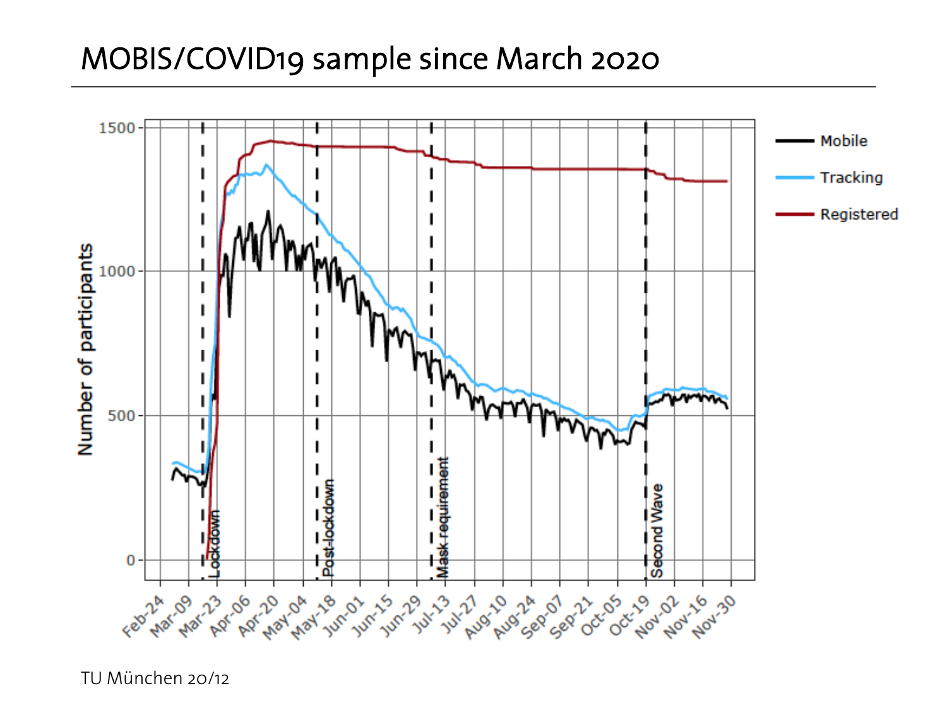#### MOBIS/COVID19 sample since March 2020

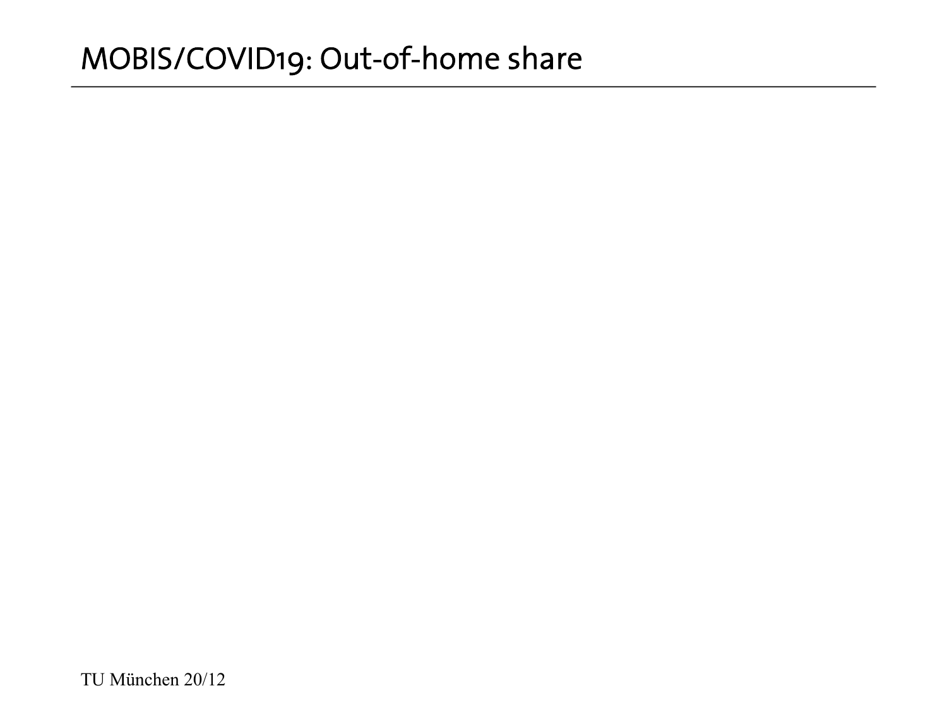#### MOBIS/COVID19: Out-of-home share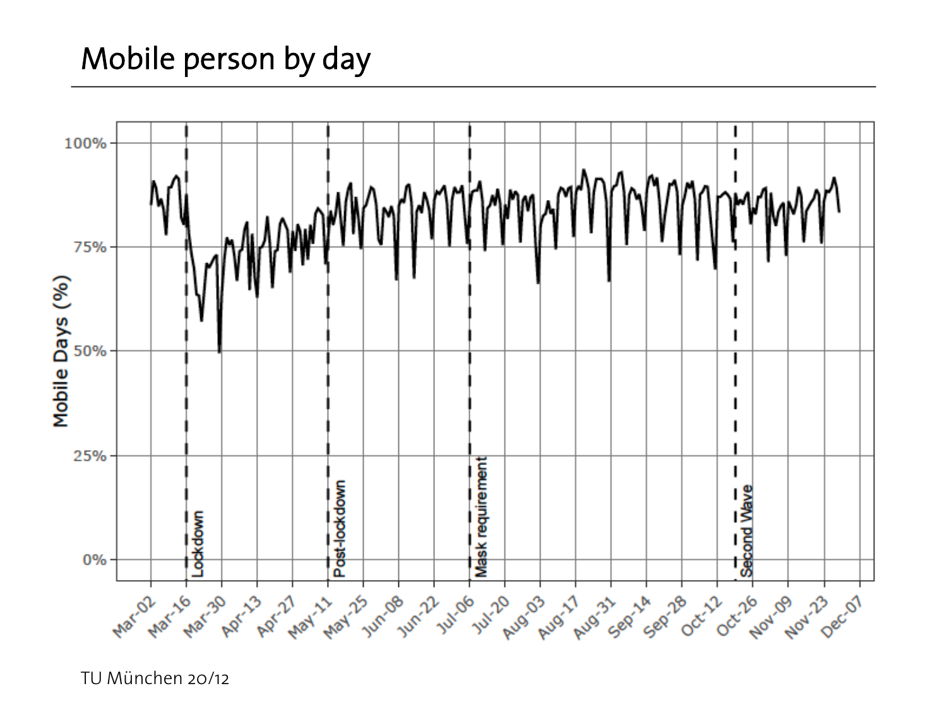## Mobile person by day

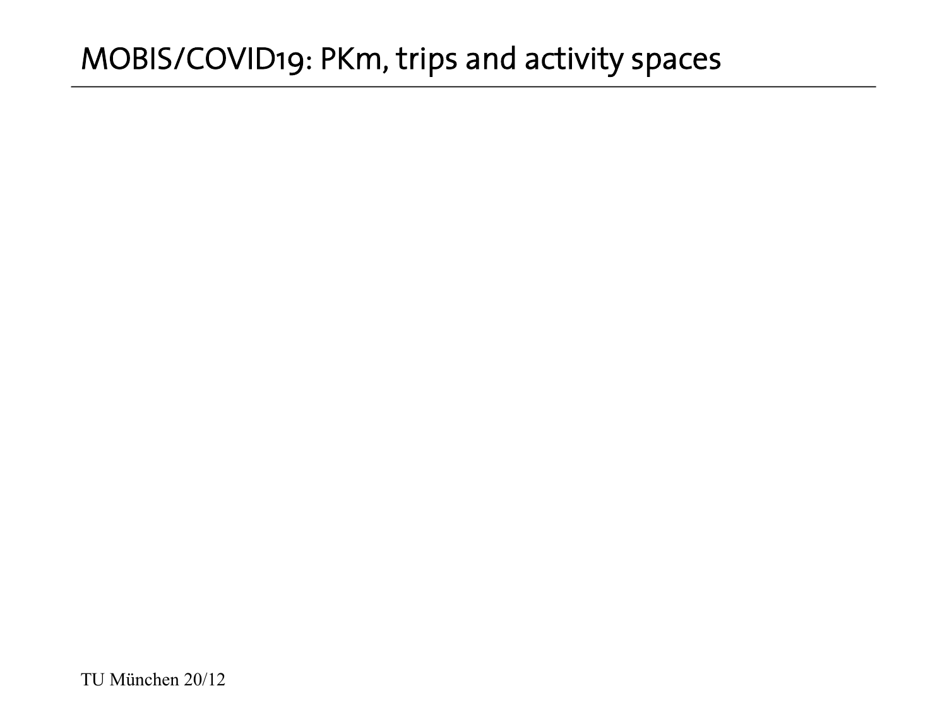#### MOBIS/COVID19: PKm, trips and activity spaces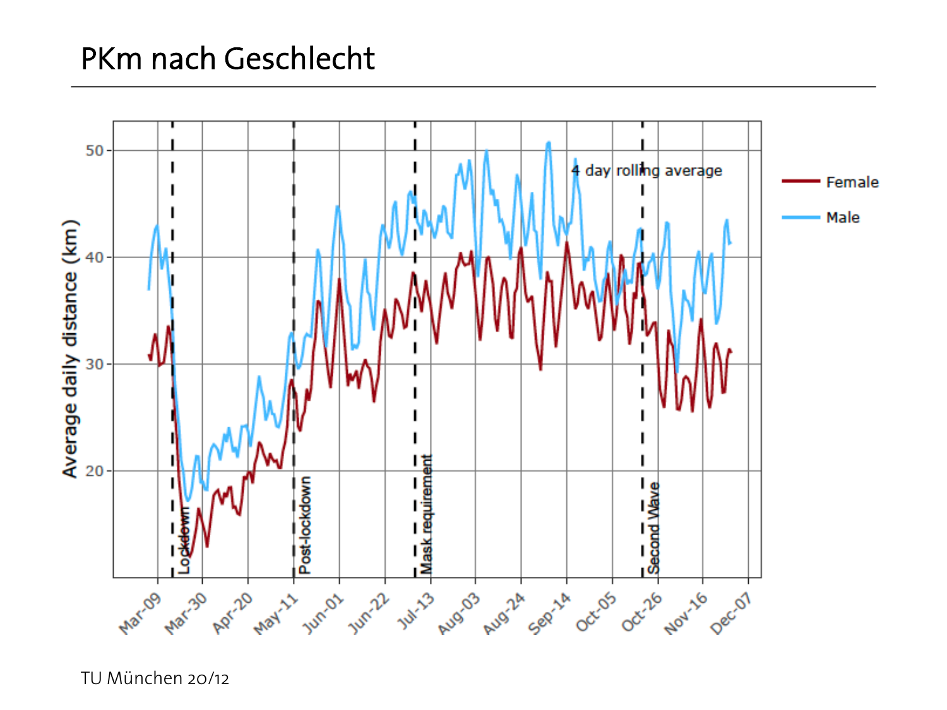#### PKm nach Geschlecht

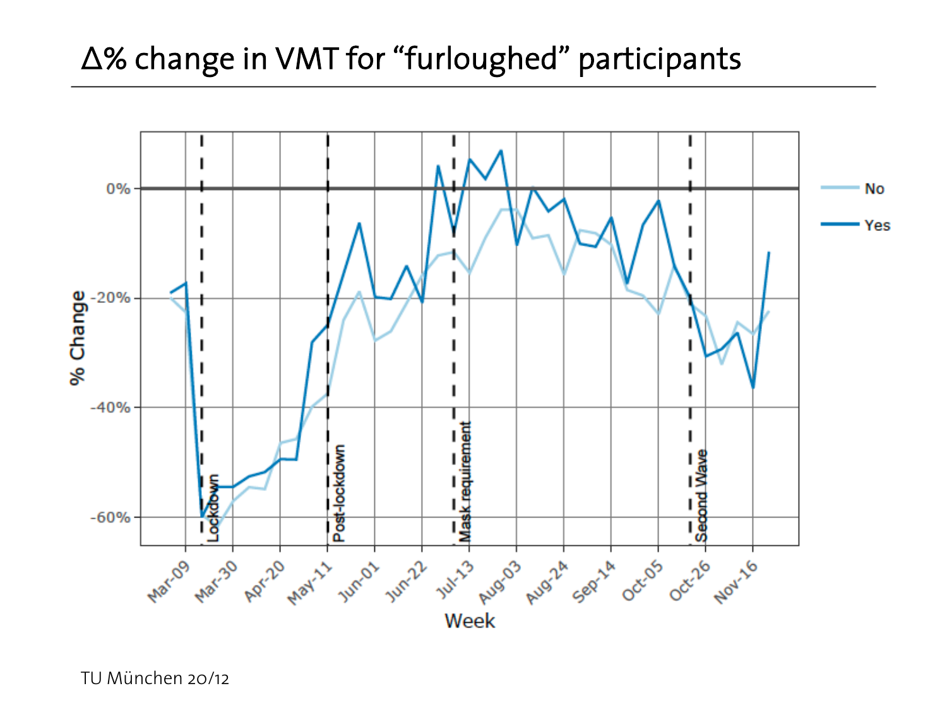## Δ% change in VMT for "furloughed" participants

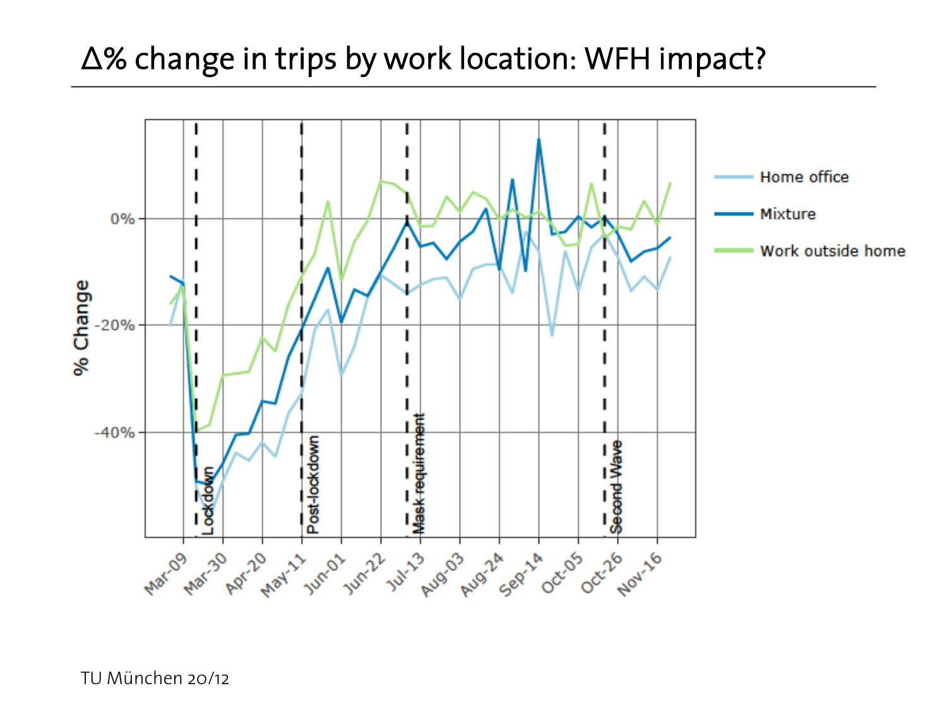#### Δ% change in trips by work location: WFH impact?

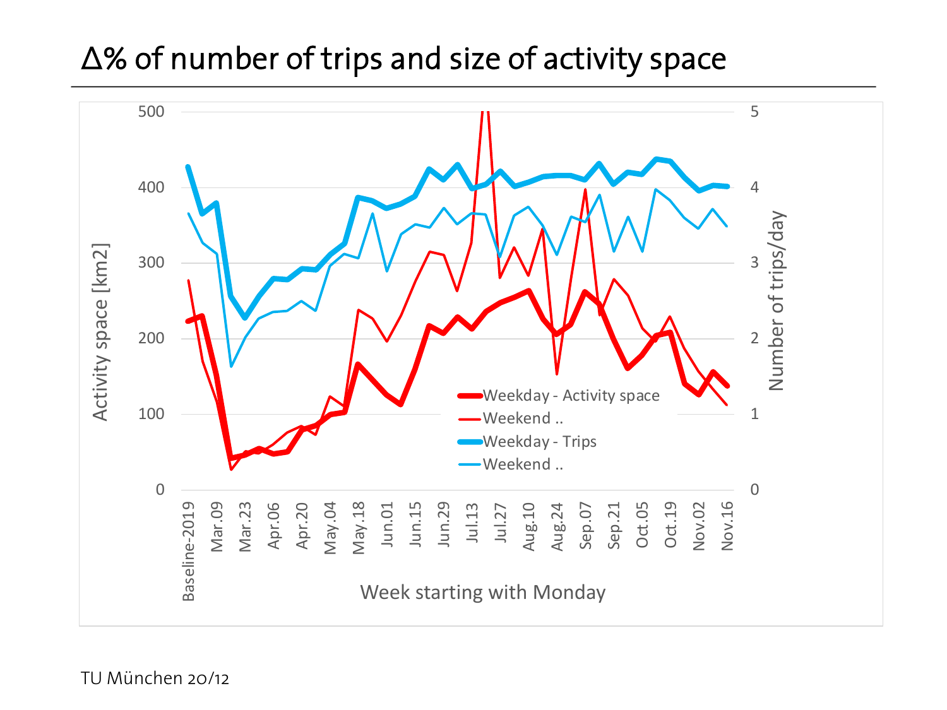#### Δ% of number of trips and size of activity space

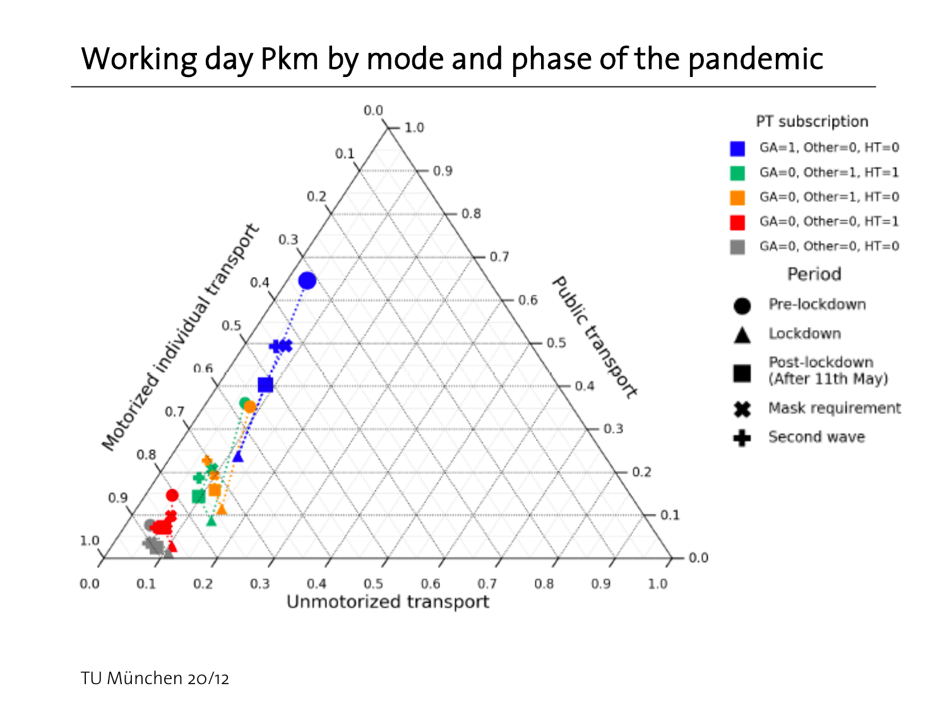## Working day Pkm by mode and phase of the pandemic

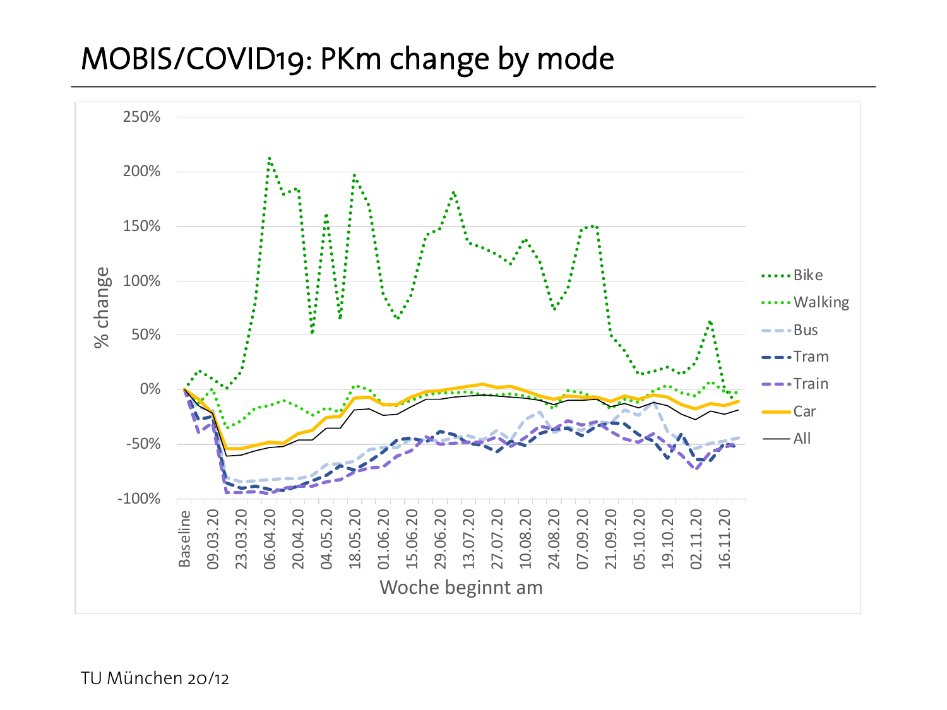#### MOBIS/COVID19: PKm change by mode

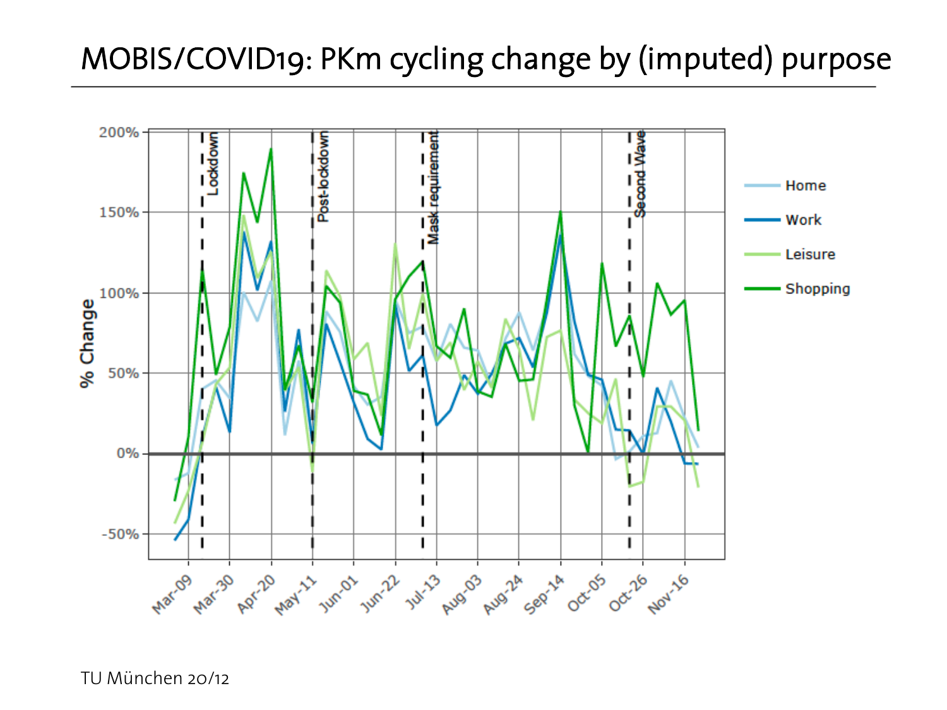## MOBIS/COVID19: PKm cycling change by (imputed) purpose

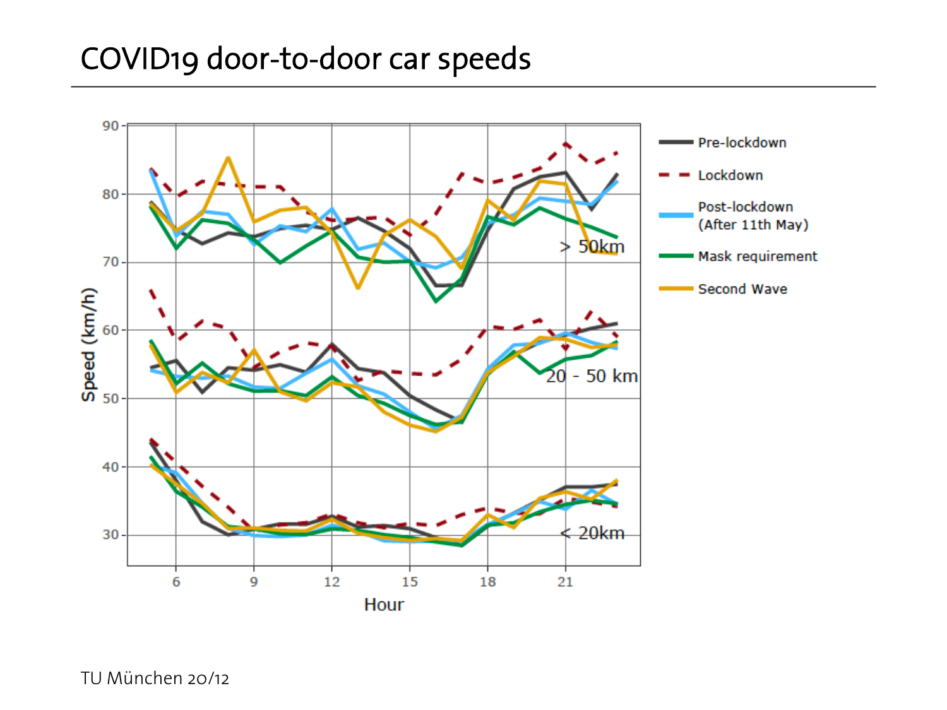#### COVID19 door-to-door car speeds

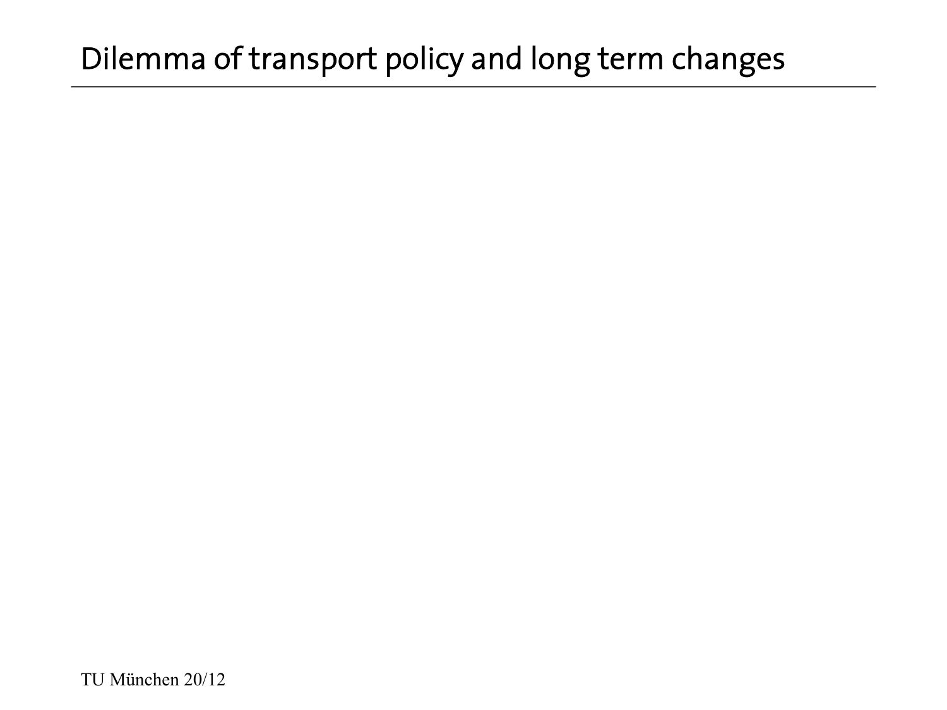## Dilemma of transport policy and long term changes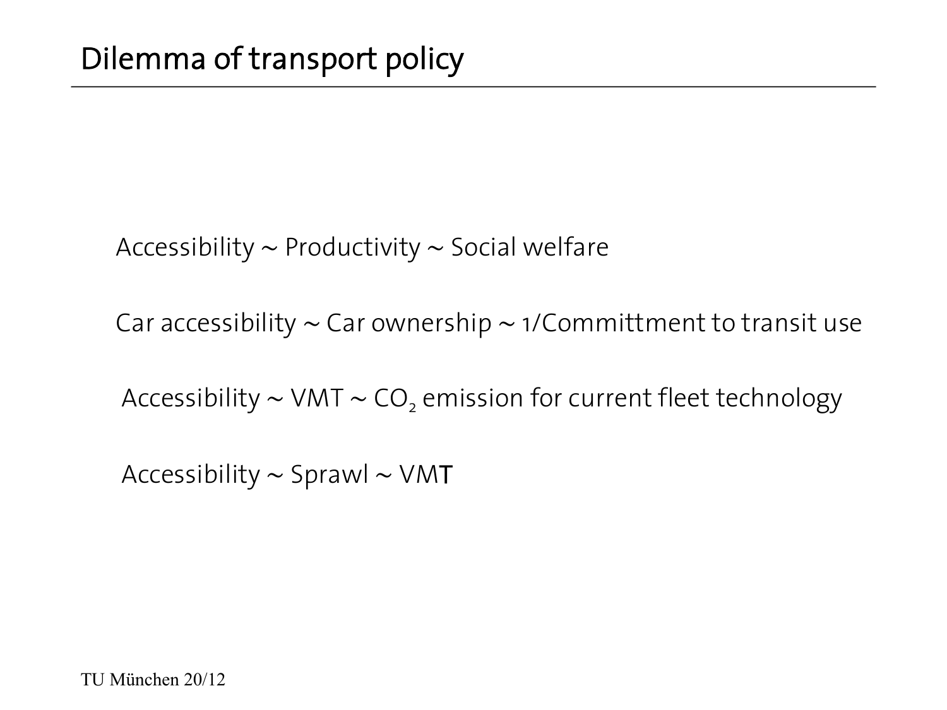Accessibility ∼ Productivity ∼ Social welfare

Car accessibility ∼ Car ownership ∼ 1/Committment to transit use

Accessibility ~ VMT ~ CO<sub>2</sub> emission for current fleet technology

Accessibility ∼ Sprawl ∼ VMT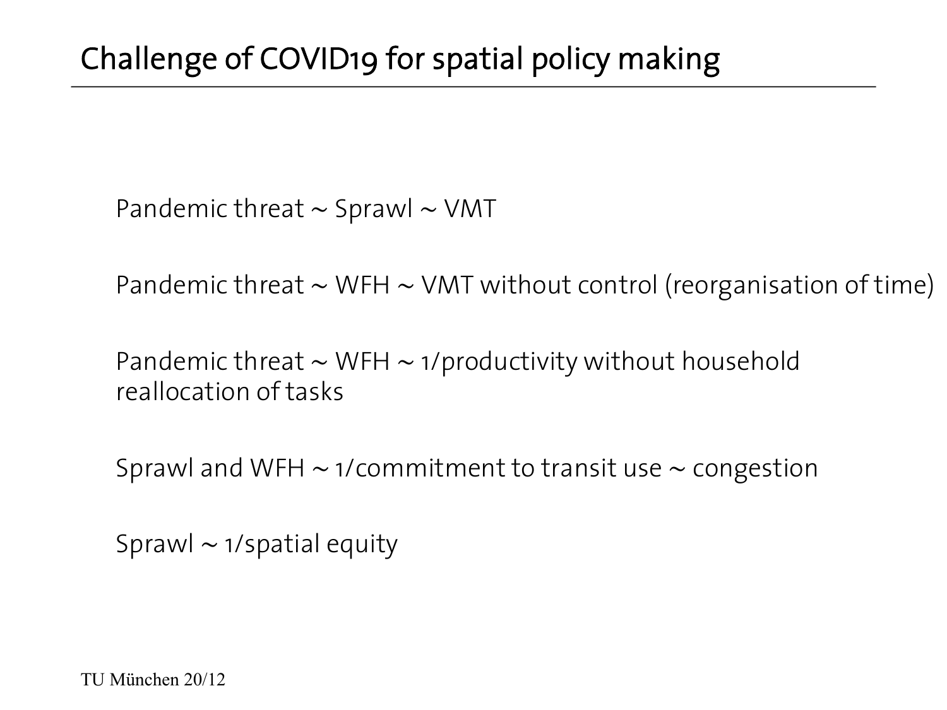Pandemic threat ∼ Sprawl ∼ VMT

Pandemic threat ∼ WFH ∼ VMT without control (reorganisation of time)

Pandemic threat ∼ WFH ∼ 1/productivity without household reallocation of tasks

Sprawl and WFH ∼ 1/commitment to transit use ∼ congestion

Sprawl ∼ 1/spatial equity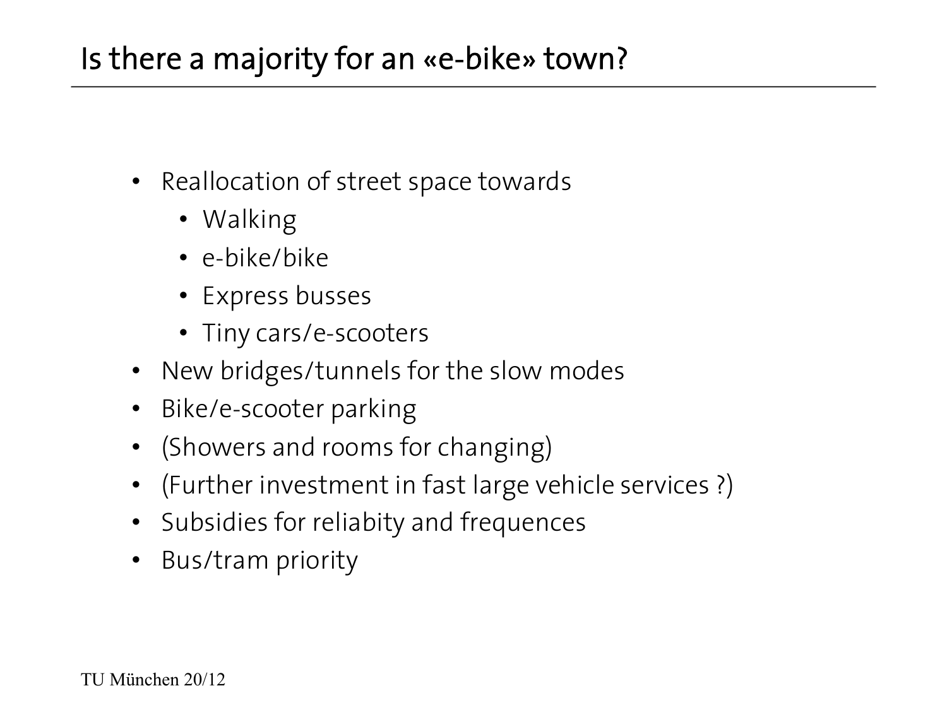## Is there a majority for an «e-bike» town?

- Reallocation of street space towards
	- Walking
	- e-bike/bike
	- Express busses
	- Tiny cars/e-scooters
- New bridges/tunnels for the slow modes
- Bike/e-scooter parking
- (Showers and rooms for changing)
- (Further investment in fast large vehicle services ?)
- Subsidies for reliabity and frequences
- Bus/tram priority